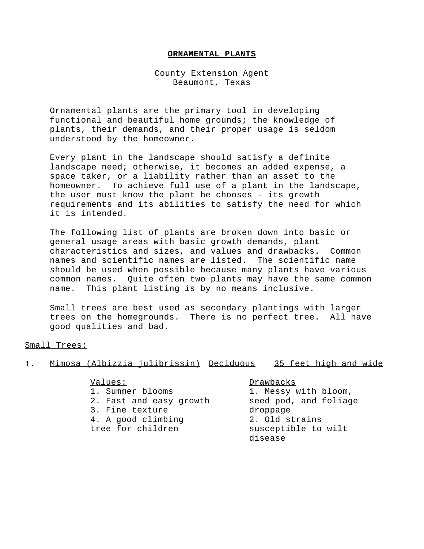## **ORNAMENTAL PLANTS**

County Extension Agent Beaumont, Texas

Ornamental plants are the primary tool in developing functional and beautiful home grounds; the knowledge of plants, their demands, and their proper usage is seldom understood by the homeowner.

Every plant in the landscape should satisfy a definite landscape need; otherwise, it becomes an added expense, a space taker, or a liability rather than an asset to the homeowner. To achieve full use of a plant in the landscape, the user must know the plant he chooses - its growth requirements and its abilities to satisfy the need for which it is intended.

The following list of plants are broken down into basic or general usage areas with basic growth demands, plant characteristics and sizes, and values and drawbacks. Common names and scientific names are listed. The scientific name should be used when possible because many plants have various common names. Quite often two plants may have the same common name. This plant listing is by no means inclusive.

Small trees are best used as secondary plantings with larger trees on the homegrounds. There is no perfect tree. All have good qualities and bad.

Small Trees:

|  | Mimosa (Albizzia julibrissin) Deciduous |  | 35 feet high and wide |  |  |
|--|-----------------------------------------|--|-----------------------|--|--|
|  |                                         |  |                       |  |  |

## Values: Drawbacks

1. Summer blooms 1. Messy with bloom, 2. Fast and easy growth seed pod, and foliage 3. Fine texture droppage 4. A good climbing 2. Old strains tree for children susceptible to wilt

disease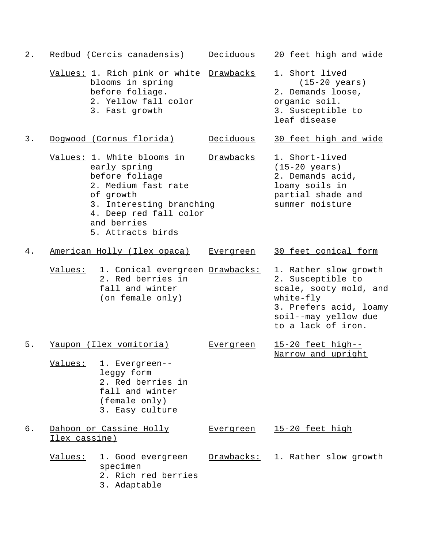| $2$ . |               | Redbud (Cercis canadensis)                                                                                                                                                                 | Deciduous        | 20 feet high and wide                                                                                                                                     |
|-------|---------------|--------------------------------------------------------------------------------------------------------------------------------------------------------------------------------------------|------------------|-----------------------------------------------------------------------------------------------------------------------------------------------------------|
|       |               | Values: 1. Rich pink or white Drawbacks<br>blooms in spring<br>before foliage.<br>2. Yellow fall color<br>3. Fast growth                                                                   |                  | 1. Short lived<br>$(15-20 \text{ years})$<br>2. Demands loose,<br>organic soil.<br>3. Susceptible to<br>leaf disease                                      |
| 3.    |               | Doqwood (Cornus florida)                                                                                                                                                                   | Deciduous        | 30 feet high and wide                                                                                                                                     |
|       |               | Values: 1. White blooms in<br>early spring<br>before foliage<br>2. Medium fast rate<br>of growth<br>3. Interesting branching<br>4. Deep red fall color<br>and berries<br>5. Attracts birds | Drawbacks        | 1. Short-lived<br>$(15-20 \text{ years})$<br>2. Demands acid,<br>loamy soils in<br>partial shade and<br>summer moisture                                   |
| 4.    |               | American Holly (Ilex opaca)                                                                                                                                                                | <u>Evergreen</u> | 30 feet conical form                                                                                                                                      |
|       | Values:       | 1. Conical evergreen Drawbacks:<br>2. Red berries in<br>fall and winter<br>(on female only)                                                                                                |                  | 1. Rather slow growth<br>2. Susceptible to<br>scale, sooty mold, and<br>white-fly<br>3. Prefers acid, loamy<br>soil--may yellow due<br>to a lack of iron. |
| 5.    |               | Yaupon (Ilex vomitoria)<br>Values: 1. Evergreen--<br>leggy form<br>2. Red berries in<br>fall and winter<br>(female only)<br>3. Easy culture                                                | <u>Evergreen</u> | 15-20 feet high--<br>Narrow and upright                                                                                                                   |
| б.    | Ilex cassine) | Dahoon or Cassine Holly                                                                                                                                                                    | <b>Evergreen</b> | 15-20 feet high                                                                                                                                           |
|       | Values:       | 1. Good evergreen<br>specimen<br>2. Rich red berries<br>3. Adaptable                                                                                                                       |                  | Drawbacks: 1. Rather slow growth                                                                                                                          |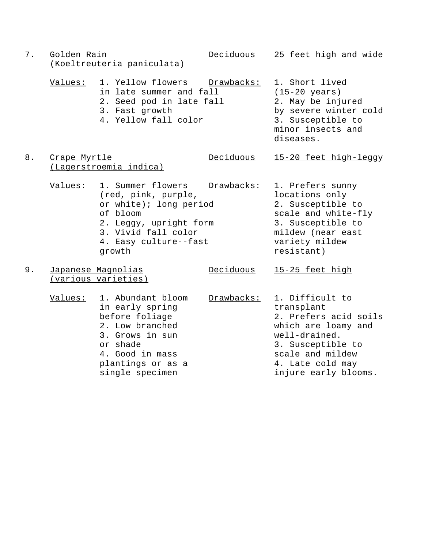| $7$ . | Golden Rain  | (Koeltreuteria paniculata)                                                                                                                                          | Deciduous  | 25 feet high and wide                                                                                                                                                               |
|-------|--------------|---------------------------------------------------------------------------------------------------------------------------------------------------------------------|------------|-------------------------------------------------------------------------------------------------------------------------------------------------------------------------------------|
|       | Values:      | 1. Yellow flowers<br>in late summer and fall<br>2. Seed pod in late fall<br>3. Fast growth<br>4. Yellow fall color                                                  | Drawbacks: | 1. Short lived<br>$(15-20 \text{ years})$<br>2. May be injured<br>by severe winter cold<br>3. Susceptible to<br>minor insects and<br>diseases.                                      |
| 8.    | Crape Myrtle | (Lagerstroemia indica)                                                                                                                                              | Deciduous  | 15-20 feet high-leggy                                                                                                                                                               |
|       | Values:      | 1. Summer flowers<br>(red, pink, purple,<br>or white); long period<br>of bloom<br>2. Leggy, upright form<br>3. Vivid fall color<br>4. Easy culture--fast<br>growth  | Drawbacks: | 1. Prefers sunny<br>locations only<br>2. Susceptible to<br>scale and white-fly<br>3. Susceptible to<br>mildew (near east<br>variety mildew<br>resistant)                            |
| 9.    |              | Japanese Magnolias<br>(various varieties)                                                                                                                           | Deciduous  | 15-25 feet high                                                                                                                                                                     |
|       | Values:      | 1. Abundant bloom<br>in early spring<br>before foliage<br>2. Low branched<br>3. Grows in sun<br>or shade<br>4. Good in mass<br>plantings or as a<br>single specimen | Drawbacks: | 1. Difficult to<br>transplant<br>2. Prefers acid soils<br>which are loamy and<br>well-drained.<br>3. Susceptible to<br>scale and mildew<br>4. Late cold may<br>injure early blooms. |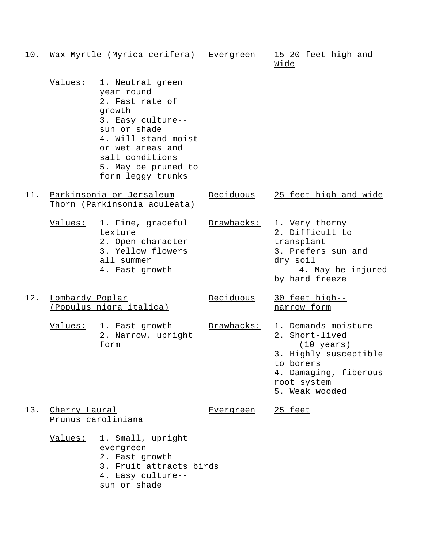| 10. |                 | Wax Myrtle (Myrica cerifera)                                                                                                                                                                               | <u>Evergreen</u> | 15-20 feet high and<br><u>Wide</u>                                                                                                                            |
|-----|-----------------|------------------------------------------------------------------------------------------------------------------------------------------------------------------------------------------------------------|------------------|---------------------------------------------------------------------------------------------------------------------------------------------------------------|
|     | <u>Values:</u>  | 1. Neutral green<br>year round<br>2. Fast rate of<br>growth<br>3. Easy culture--<br>sun or shade<br>4. Will stand moist<br>or wet areas and<br>salt conditions<br>5. May be pruned to<br>form leggy trunks |                  |                                                                                                                                                               |
| 11. |                 | Parkinsonia or Jersaleum<br>Thorn (Parkinsonia aculeata)                                                                                                                                                   | Deciduous        | 25 feet high and wide                                                                                                                                         |
|     | <u>Values:</u>  | 1. Fine, graceful<br>texture<br>2. Open character<br>3. Yellow flowers<br>all summer<br>4. Fast growth                                                                                                     | Drawbacks:       | 1. Very thorny<br>2. Difficult to<br>transplant<br>3. Prefers sun and<br>dry soil<br>4. May be injured<br>by hard freeze                                      |
| 12. | Lombardy Poplar | (Populus nigra italica)                                                                                                                                                                                    | Deciduous        | 30 feet high--<br>narrow form                                                                                                                                 |
|     |                 | Values: 1. Fast growth<br>2. Narrow, upright<br>form                                                                                                                                                       | Drawbacks:       | 1. Demands moisture<br>2. Short-lived<br>$(10 \text{ years})$<br>3. Highly susceptible<br>to borers<br>4. Damaging, fiberous<br>root system<br>5. Weak wooded |
| 13. | Cherry Laural   | Prunus caroliniana                                                                                                                                                                                         | <u>Evergreen</u> | <u>25 feet</u>                                                                                                                                                |
|     | <u>Values:</u>  | 1. Small, upright<br>evergreen<br>2. Fast growth<br>3. Fruit attracts birds<br>4. Easy culture--<br>sun or shade                                                                                           |                  |                                                                                                                                                               |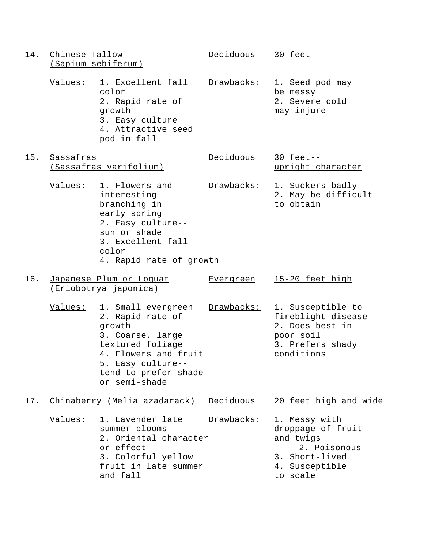14. Chinese Tallow Deciduous 30 feet (Sapium sebiferum) Values: 1. Excellent fall Drawbacks: 1. Seed pod may color be messy 2. Rapid rate of 2. Severe cold growth may injure 3. Easy culture 4. Attractive seed pod in fall 15. Sassafras Deciduous 30 feet-- (Sassafras varifolium) variant character Values: 1. Flowers and Drawbacks: 1. Suckers badly interesting 2. May be difficult branching in to obtain early spring 2. Easy culture- sun or shade 3. Excellent fall color 4. Rapid rate of growth 16. Japanese Plum or Loquat Evergreen 15-20 feet high (Eriobotrya japonica) Values: 1. Small evergreen Drawbacks: 1. Susceptible to 2. Rapid rate of fireblight disease growth 2. Does best in 3. Coarse, large poor soil textured foliage 3. Prefers shady 4. Flowers and fruit enditions 5. Easy culture- tend to prefer shade or semi-shade 17. Chinaberry (Melia azadarack) Deciduous 20 feet high and wide Values: 1. Lavender late Drawbacks: 1. Messy with summer blooms between the droppage of fruit 2. Oriental character and twigs or effect 2. Poisonous 3. Colorful yellow 3. Short-lived fruit in late summer 4. Susceptible and fall to scale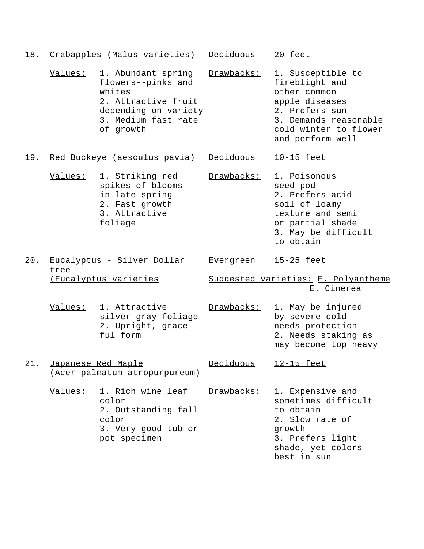| 18. |                    | Crabapples (Malus varieties) Deciduous                                                                                                |                  | 20 feet                                                                                                                                                       |
|-----|--------------------|---------------------------------------------------------------------------------------------------------------------------------------|------------------|---------------------------------------------------------------------------------------------------------------------------------------------------------------|
|     | Values:            | 1. Abundant spring<br>flowers--pinks and<br>whites<br>2. Attractive fruit<br>depending on variety<br>3. Medium fast rate<br>of growth | Drawbacks:       | 1. Susceptible to<br>fireblight and<br>other common<br>apple diseases<br>2. Prefers sun<br>3. Demands reasonable<br>cold winter to flower<br>and perform well |
| 19. |                    | Red Buckeye (aesculus pavia)                                                                                                          | Deciduous        | <u>10-15 feet</u>                                                                                                                                             |
|     | <u>Values:</u>     | 1. Striking red<br>spikes of blooms<br>in late spring<br>2. Fast growth<br>3. Attractive<br>foliage                                   | Drawbacks:       | 1. Poisonous<br>seed pod<br>2. Prefers acid<br>soil of loamy<br>texture and semi<br>or partial shade<br>3. May be difficult<br>to obtain                      |
| 20. |                    | Eucalyptus - Silver Dollar                                                                                                            | <b>Evergreen</b> | <u>15-25 feet</u>                                                                                                                                             |
|     |                    |                                                                                                                                       |                  |                                                                                                                                                               |
|     | tree               | <u>(Eucalyptus varieties</u>                                                                                                          |                  | Suggested varieties: E. Polyantheme<br>E. Cinerea                                                                                                             |
|     | Values:            | 1. Attractive<br>silver-gray foliage<br>2. Upright, grace-<br>ful form                                                                | Drawbacks:       | 1. May be injured<br>by severe cold--<br>needs protection<br>2. Needs staking as<br>may become top heavy                                                      |
| 21. | Japanese Red Maple | (Acer palmatum atropurpureum)                                                                                                         | Deciduous        | 12-15 feet                                                                                                                                                    |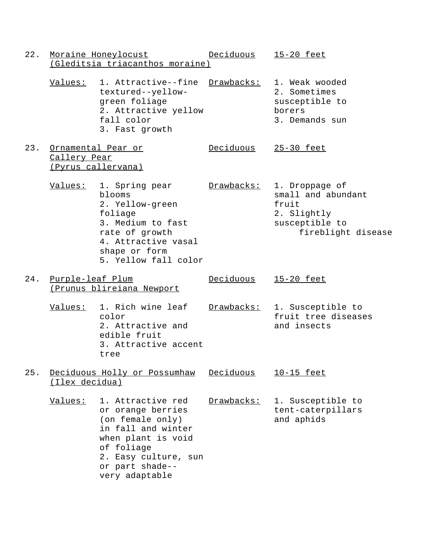22. Moraine Honeylocust Deciduous 15-20 feet (Gleditsia triacanthos moraine) Values: 1. Attractive--fine Drawbacks: 1. Weak wooded textured--yellow- 2. Sometimes green foliage susceptible to 2. Attractive yellow borers fall color  $\qquad \qquad$  3. Demands sun 3. Fast growth 23. Ornamental Pear or Deciduous 25-30 feet Callery Pear (Pyrus callervana) Values: 1. Spring pear Drawbacks: 1. Droppage of blooms small and abundant 2. Yellow-green fruit foliage 2. Slightly 3. Medium to fast susceptible to rate of growth  $f$  ireblight disease 4. Attractive vasal shape or form 5. Yellow fall color 24. Purple-leaf Plum Deciduous 15-20 feet (Prunus blireiana Newport Values: 1. Rich wine leaf Drawbacks: 1. Susceptible to color fruit tree diseases 2. Attractive and and insects edible fruit 3. Attractive accent tree 25. Deciduous Holly or Possumhaw Deciduous 10-15 feet (Ilex decidua) Values: 1. Attractive red Drawbacks: 1. Susceptible to or orange berries tent-caterpillars (on female only) and aphids in fall and winter when plant is void of foliage 2. Easy culture, sun or part shade- very adaptable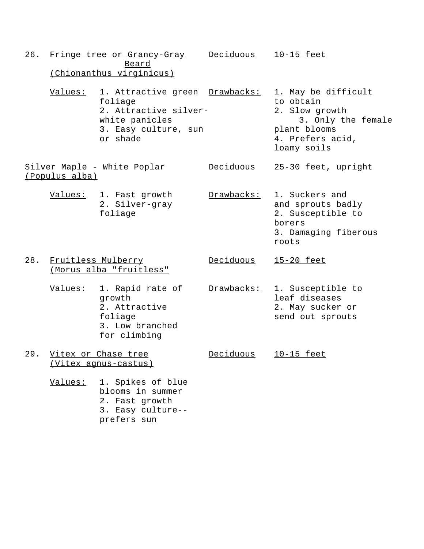- 26. Fringe tree or Grancy-Gray Deciduous 10-15 feet Beard (Chionanthus virginicus) Values: 1. Attractive green Drawbacks: 1. May be difficult foliage to obtain 2. Attractive silver-<br>
2. Slow growth white panicles 3. Only the female 3. Easy culture, sun interest plant blooms or shade 4. Prefers acid, loamy soils Silver Maple - White Poplar Deciduous 25-30 feet, upright (Populus alba) Values: 1. Fast growth Drawbacks: 1. Suckers and 2. Silver-gray and sprouts badly foliage 2. Susceptible to borers 3. Damaging fiberous roots 28. Fruitless Mulberry Deciduous 15-20 feet (Morus alba "fruitless" Values: 1. Rapid rate of Drawbacks: 1. Susceptible to growth leaf diseases 2. Attractive 2. May sucker or foliage send out sprouts 3. Low branched for climbing 29. Vitex or Chase tree Deciduous 10-15 feet (Vitex agnus-castus) Values: 1. Spikes of blue blooms in summer 2. Fast growth 3. Easy culture-
	- prefers sun